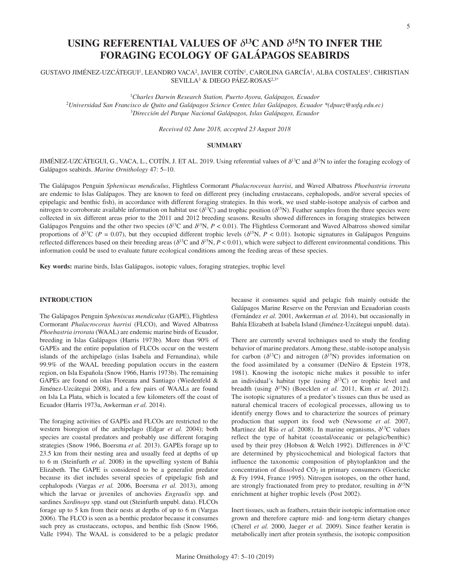# **USING REFERENTIAL VALUES OF** δ**13C AND** δ**15N TO INFER THE FORAGING ECOLOGY OF GALÁPAGOS SEABIRDS**

GUSTAVO JIMÉNEZ-UZCÁTEGUI1, LEANDRO VACA2, JAVIER COTÍN1, CAROLINA GARCÍA1, ALBA COSTALES1, CHRISTIAN SEVILLA3 & DIEGO PÁEZ-ROSAS2,3\*

1*Charles Darwin Research Station, Puerto Ayora, Galápagos, Ecuador* <sup>2</sup>*Universidad San Francisco de Quito and Galápagos Science Center, Islas Galápagos, Ecuador \*(dpaez@usfq.edu.ec)* 3 *Dirección del Parque Nacional Galápagos, Islas Galápagos, Ecuador*

*Received 02 June 2018, accepted 23 August 2018*

## **SUMMARY**

JIMÉNEZ-UZCÁTEGUI, G., VACA, L., COTÍN, J. ET AL. 2019. Using referential values of  $\delta^{13}C$  and  $\delta^{15}N$  to infer the foraging ecology of Galápagos seabirds. *Marine Ornithology* 47: 5–10.

The Galápagos Penguin *Spheniscus mendiculus*, Flightless Cormorant *Phalacrocorax harrisi*, and Waved Albatross *Phoebastria irrorata* are endemic to Islas Galápagos. They are known to feed on different prey (including crustaceans, cephalopods, and/or several species of epipelagic and benthic fish), in accordance with different foraging strategies. In this work, we used stable-isotope analysis of carbon and nitrogen to corroborate available information on habitat use ( $\delta^{13}$ C) and trophic position ( $\delta^{15}$ N). Feather samples from the three species were collected in six different areas prior to the 2011 and 2012 breeding seasons. Results showed differences in foraging strategies between Galápagos Penguins and the other two species ( $\delta^{13}C$  and  $\delta^{15}N$ ,  $P < 0.01$ ). The Flightless Cormorant and Waved Albatross showed similar proportions of  $\delta^{13}C$  (*P* = 0.07), but they occupied different trophic levels ( $\delta^{15}N$ , *P* < 0.01). Isotopic signatures in Galápagos Penguins reflected differences based on their breeding areas ( $\delta^{13}C$  and  $\delta^{15}N$ ,  $P < 0.01$ ), which were subject to different environmental conditions. This information could be used to evaluate future ecological conditions among the feeding areas of these species.

**Key words:** marine birds, Islas Galápagos, isotopic values, foraging strategies, trophic level

## **INTRODUCTION**

The Galápagos Penguin *Spheniscus mendiculus* (GAPE), Flightless Cormorant *Phalacrocorax harrisi* (FLCO), and Waved Albatross *Phoebastria irrorata* (WAAL) are endemic marine birds of Ecuador, breeding in Islas Galápagos (Harris 1973b). More than 90% of GAPEs and the entire population of FLCOs occur on the western islands of the archipelago (islas Isabela and Fernandina), while 99.9% of the WAAL breeding population occurs in the eastern region, on Isla Española (Snow 1966, Harris 1973b). The remaining GAPEs are found on islas Floreana and Santiago (Wiedenfeld & Jiménez-Uzcátegui 2008), and a few pairs of WAALs are found on Isla La Plata, which is located a few kilometers off the coast of Ecuador (Harris 1973a, Awkerman *et al.* 2014).

The foraging activities of GAPEs and FLCOs are restricted to the western bioregion of the archipelago (Edgar *et al.* 2004); both species are coastal predators and probably use different foraging strategies (Snow 1966, Boersma *et al.* 2013). GAPEs forage up to 23.5 km from their nesting area and usually feed at depths of up to 6 m (Steinfurth *et al.* 2008) in the upwelling system of Bahía Elizabeth. The GAPE is considered to be a generalist predator because its diet includes several species of epipelagic fish and cephalopods (Vargas *et al.* 2006, Boersma *et al.* 2013), among which the larvae or juveniles of anchovies *Engraulis* spp. and sardines *Sardinops* spp. stand out (Steinfurth unpubl. data). FLCOs forage up to 5 km from their nests at depths of up to 6 m (Vargas 2006). The FLCO is seen as a benthic predator because it consumes such prey as crustaceans, octopus, and benthic fish (Snow 1966, Valle 1994). The WAAL is considered to be a pelagic predator

because it consumes squid and pelagic fish mainly outside the Galápagos Marine Reserve on the Peruvian and Ecuadorian coasts (Fernández *et al.* 2001, Awkerman *et al.* 2014), but occasionally in Bahía Elizabeth at Isabela Island (Jiménez-Uzcátegui unpubl. data).

There are currently several techniques used to study the feeding behavior of marine predators. Among these, stable-isotope analysis for carbon ( $\delta^{13}$ C) and nitrogen ( $\delta^{15}$ N) provides information on the food assimilated by a consumer (DeNiro & Epstein 1978, 1981). Knowing the isotopic niche makes it possible to infer an individual's habitat type (using  $\delta^{13}$ C) or trophic level and breadth (using  $\delta^{15}N$ ) (Boecklen *et al.* 2011, Kim *et al.* 2012). The isotopic signatures of a predator's tissues can thus be used as natural chemical tracers of ecological processes, allowing us to identify energy flows and to characterize the sources of primary production that support its food web (Newsome *et al.* 2007, Martínez del Río *et al.* 2008). In marine organisms,  $\delta^{13}$ C values reflect the type of habitat (coastal/oceanic or pelagic/benthic) used by their prey (Hobson & Welch 1992). Differences in  $\delta^{13}C$ are determined by physicochemical and biological factors that influence the taxonomic composition of phytoplankton and the concentration of dissolved  $CO<sub>2</sub>$  in primary consumers (Goericke & Fry 1994, France 1995). Nitrogen isotopes, on the other hand, are strongly fractionated from prey to predator, resulting in  $\delta^{15}N$ enrichment at higher trophic levels (Post 2002).

Inert tissues, such as feathers, retain their isotopic information once grown and therefore capture mid- and long-term dietary changes (Cherel *et al.* 2000, Jaeger *et al.* 2009). Since feather keratin is metabolically inert after protein synthesis, the isotopic composition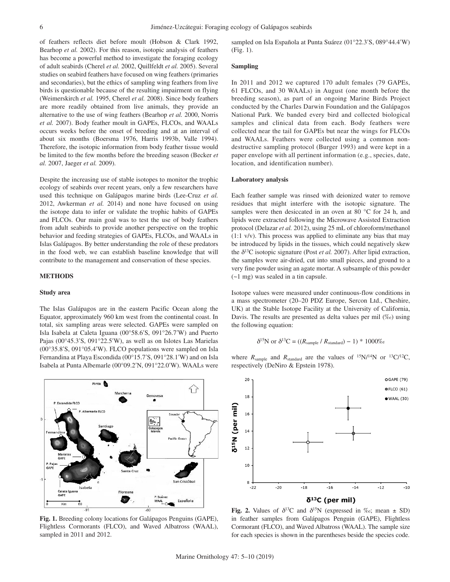of feathers reflects diet before moult (Hobson & Clark 1992, Bearhop *et al.* 2002). For this reason, isotopic analysis of feathers has become a powerful method to investigate the foraging ecology of adult seabirds (Cherel *et al.* 2002, Quillfeldt *et al.* 2005). Several studies on seabird feathers have focused on wing feathers (primaries and secondaries), but the ethics of sampling wing feathers from live birds is questionable because of the resulting impairment on flying (Weimerskirch *et al.* 1995, Cherel *et al.* 2008). Since body feathers are more readily obtained from live animals, they provide an alternative to the use of wing feathers (Bearhop *et al.* 2000, Norris *et al.* 2007). Body feather moult in GAPEs, FLCOs, and WAALs occurs weeks before the onset of breeding and at an interval of about six months (Boersma 1976, Harris 1993b, Valle 1994). Therefore, the isotopic information from body feather tissue would be limited to the few months before the breeding season (Becker *et al.* 2007, Jaeger *et al.* 2009).

Despite the increasing use of stable isotopes to monitor the trophic ecology of seabirds over recent years, only a few researchers have used this technique on Galápagos marine birds (Lee-Cruz *et al.* 2012, Awkerman *et al.* 2014) and none have focused on using the isotope data to infer or validate the trophic habits of GAPEs and FLCOs. Our main goal was to test the use of body feathers from adult seabirds to provide another perspective on the trophic behavior and feeding strategies of GAPEs, FLCOs, and WAALs in Islas Galápagos. By better understanding the role of these predators in the food web, we can establish baseline knowledge that will contribute to the management and conservation of these species.

#### **METHODS**

### **Study area**

The Islas Galápagos are in the eastern Pacific Ocean along the Equator, approximately 960 km west from the continental coast. In total, six sampling areas were selected. GAPEs were sampled on Isla Isabela at Caleta Iguana (00°58.6′S, 091°26.7′W) and Puerto Pajas (00°45.3′S, 091°22.5′W), as well as on Islotes Las Marielas (00°35.8′S, 091°05.4′W). FLCO populations were sampled on Isla Fernandina at Playa Escondida (00°15.7′S, 091°28.1′W) and on Isla Isabela at Punta Albemarle (00°09.2′N, 091°22.0′W). WAALs were



**Fig. 1.** Breeding colony locations for Galápagos Penguins (GAPE), Flightless Cormorants (FLCO), and Waved Albatross (WAAL), sampled in 2011 and 2012.

sampled on Isla Española at Punta Suárez (01°22.3′S, 089°44.4′W) (Fig. 1).

#### **Sampling**

In 2011 and 2012 we captured 170 adult females (79 GAPEs, 61 FLCOs, and 30 WAALs) in August (one month before the breeding season), as part of an ongoing Marine Birds Project conducted by the Charles Darwin Foundation and the Galápagos National Park. We banded every bird and collected biological samples and clinical data from each. Body feathers were collected near the tail for GAPEs but near the wings for FLCOs and WAALs. Feathers were collected using a common nondestructive sampling protocol (Burger 1993) and were kept in a paper envelope with all pertinent information (e.g., species, date, location, and identification number).

#### **Laboratory analysis**

Each feather sample was rinsed with deionized water to remove residues that might interfere with the isotopic signature. The samples were then desiccated in an oven at 80 °C for 24 h, and lipids were extracted following the Microwave Assisted Extraction protocol (Delazar *et al.* 2012), using 25 mL of chloroform/methanol (1:1 v/v). This process was applied to eliminate any bias that may be introduced by lipids in the tissues, which could negatively skew the  $\delta^{13}$ C isotopic signature (Post *et al.* 2007). After lipid extraction, the samples were air-dried, cut into small pieces, and ground to a very fine powder using an agate mortar. A subsample of this powder (~1 mg) was sealed in a tin capsule.

Isotope values were measured under continuous-flow conditions in a mass spectrometer (20–20 PDZ Europe, Sercon Ltd., Cheshire, UK) at the Stable Isotope Facility at the University of California, Davis. The results are presented as delta values per mil  $(\%_0)$  using the following equation:

$$
\delta^{15}
$$
N or  $\delta^{13}$ C = ((R<sub>sample</sub> / R<sub>standard</sub>) – 1) \* 1000%

where  $R_{sample}$  and  $R_{standard}$  are the values of  $^{15}N/^{14}N$  or  $^{13}C/^{12}C$ , respectively (DeNiro & Epstein 1978).



**Fig. 2.** Values of  $\delta^{13}C$  and  $\delta^{15}N$  (expressed in ‰; mean  $\pm$  SD) in feather samples from Galápagos Penguin (GAPE), Flightless Cormorant (FLCO), and Waved Albatross (WAAL). The sample size for each species is shown in the parentheses beside the species code.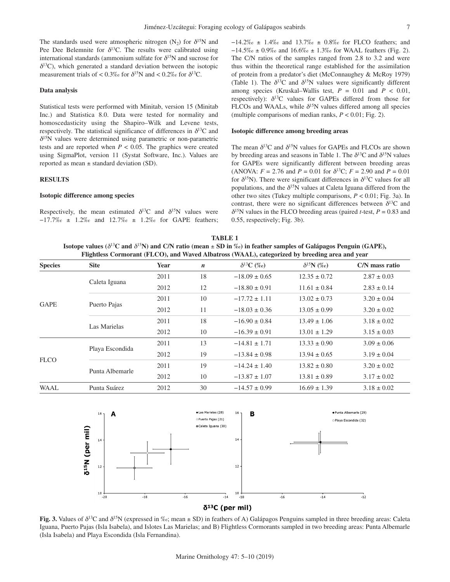The standards used were atmospheric nitrogen (N<sub>2</sub>) for  $\delta^{15}N$  and Pee Dee Belemnite for  $\delta^{13}$ C. The results were calibrated using international standards (ammonium sulfate for  $\delta^{15}N$  and sucrose for  $\delta^{13}$ C), which generated a standard deviation between the isotopic measurement trials of <  $0.3\%$  for  $\delta^{15}N$  and <  $0.2\%$  for  $\delta^{13}C$ .

#### **Data analysis**

Statistical tests were performed with Minitab, version 15 (Minitab Inc.) and Statistica 8.0. Data were tested for normality and homoscedasticity using the Shapiro–Wilk and Levene tests, respectively. The statistical significance of differences in  $\delta^{13}$ C and  $\delta^{15}$ N values were determined using parametric or non-parametric tests and are reported when  $P < 0.05$ . The graphics were created using SigmaPlot, version 11 (Systat Software, Inc.). Values are reported as mean ± standard deviation (SD).

#### **RESULTS**

#### **Isotopic difference among species**

Respectively, the mean estimated  $\delta^{13}C$  and  $\delta^{15}N$  values were −17.7‰ ± 1.2‰ and 12.7‰ ± 1.2‰ for GAPE feathers; −14.2‰ ± 1.4‰ and 13.7‰ ± 0.8‰ for FLCO feathers; and −14.5‰ ± 0.9‰ and 16.6‰ ± 1.3‰ for WAAL feathers (Fig. 2). The C/N ratios of the samples ranged from 2.8 to 3.2 and were thus within the theoretical range established for the assimilation of protein from a predator's diet (McConnaughey & McRoy 1979) (Table 1). The  $\delta^{13}C$  and  $\delta^{15}N$  values were significantly different among species (Kruskal–Wallis test,  $P = 0.01$  and  $P < 0.01$ , respectively):  $\delta^{13}$ C values for GAPEs differed from those for FLCOs and WAALs, while  $\delta^{15}N$  values differed among all species (multiple comparisons of median ranks,  $P < 0.01$ ; Fig. 2).

## **Isotopic difference among breeding areas**

The mean  $\delta^{13}C$  and  $\delta^{15}N$  values for GAPEs and FLCOs are shown by breeding areas and seasons in Table 1. The  $\delta^{13}$ C and  $\delta^{15}$ N values for GAPEs were significantly different between breeding areas (ANOVA:  $F = 2.76$  and  $P = 0.01$  for  $\delta^{13}C$ ;  $F = 2.90$  and  $P = 0.01$ for  $\delta^{15}$ N). There were significant differences in  $\delta^{13}$ C values for all populations, and the  $\delta^{15}N$  values at Caleta Iguana differed from the other two sites (Tukey multiple comparisons, *P* < 0.01; Fig. 3a). In contrast, there were no significant differences between  $\delta^{13}C$  and  $\delta^{15}$ N values in the FLCO breeding areas (paired *t*-test, *P* = 0.83 and 0.55, respectively; Fig. 3b).

| TABLE 1                                                                                                                                     |
|---------------------------------------------------------------------------------------------------------------------------------------------|
| Isotope values ( $\delta^{13}C$ and $\delta^{15}N$ ) and C/N ratio (mean $\pm$ SD in $\%$ ) in feather samples of Galápagos Penguin (GAPE), |
| Flightless Cormorant (FLCO), and Waved Albatross (WAAL), categorized by breeding area and year                                              |

| <b>Species</b> | <b>Site</b>     | Year | $\boldsymbol{n}$ | $\delta^{13}C$ (%o) | $\delta^{15}N$ (%o) | C/N mass ratio  |
|----------------|-----------------|------|------------------|---------------------|---------------------|-----------------|
| <b>GAPE</b>    | Caleta Iguana   | 2011 | 18               | $-18.09 \pm 0.65$   | $12.35 \pm 0.72$    | $2.87 \pm 0.03$ |
|                |                 | 2012 | 12               | $-18.80 \pm 0.91$   | $11.61 \pm 0.84$    | $2.83 \pm 0.14$ |
|                | Puerto Pajas    | 2011 | 10               | $-17.72 \pm 1.11$   | $13.02 \pm 0.73$    | $3.20 \pm 0.04$ |
|                |                 | 2012 | 11               | $-18.03 \pm 0.36$   | $13.05 \pm 0.99$    | $3.20 \pm 0.02$ |
|                | Las Marielas    | 2011 | 18               | $-16.90 \pm 0.84$   | $13.49 \pm 1.06$    | $3.18 \pm 0.02$ |
|                |                 | 2012 | 10               | $-16.39 \pm 0.91$   | $13.01 \pm 1.29$    | $3.15 \pm 0.03$ |
| <b>FLCO</b>    | Playa Escondida | 2011 | 13               | $-14.81 \pm 1.71$   | $13.33 \pm 0.90$    | $3.09 \pm 0.06$ |
|                |                 | 2012 | 19               | $-13.84 \pm 0.98$   | $13.94 \pm 0.65$    | $3.19 \pm 0.04$ |
|                | Punta Albemarle | 2011 | 19               | $-14.24 \pm 1.40$   | $13.82 \pm 0.80$    | $3.20 \pm 0.02$ |
|                |                 | 2012 | 10               | $-13.87 \pm 1.07$   | $13.81 \pm 0.89$    | $3.17 \pm 0.02$ |
| <b>WAAL</b>    | Punta Suárez    | 2012 | 30               | $-14.57 \pm 0.99$   | $16.69 \pm 1.39$    | $3.18 \pm 0.02$ |



**Fig. 3.** Values of  $\delta^{13}C$  and  $\delta^{15}N$  (expressed in ‰; mean  $\pm$  SD) in feathers of A) Galápagos Penguins sampled in three breeding areas: Caleta Iguana, Puerto Pajas (Isla Isabela), and Islotes Las Marielas; and B) Flightless Cormorants sampled in two breeding areas: Punta Albemarle (Isla Isabela) and Playa Escondida (Isla Fernandina).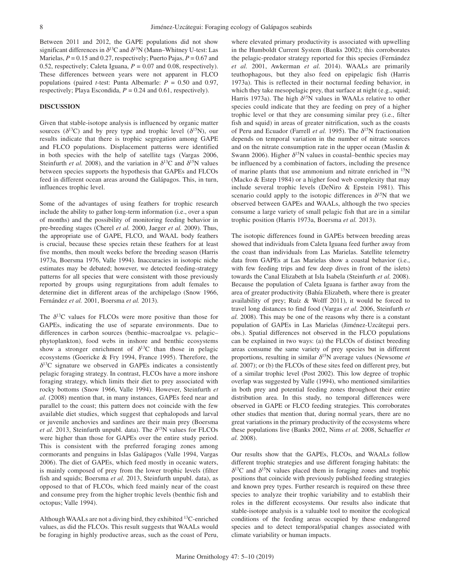Between 2011 and 2012, the GAPE populations did not show significant differences in  $\delta^{13}C$  and  $\delta^{15}N$  (Mann–Whitney U-test: Las Marielas, *P* = 0.15 and 0.27, respectively; Puerto Pajas, *P* = 0.67 and 0.52, respectively; Caleta Iguana,  $P = 0.07$  and 0.08, respectively). These differences between years were not apparent in FLCO populations (paired *t*-test: Punta Albemarle:  $P = 0.50$  and 0.97, respectively; Playa Escondida, *P* = 0.24 and 0.61, respectively).

## **DISCUSSION**

Given that stable-isotope analysis is influenced by organic matter sources ( $\delta^{13}$ C) and by prey type and trophic level ( $\delta^{15}$ N), our results indicate that there is trophic segregation among GAPE and FLCO populations. Displacement patterns were identified in both species with the help of satellite tags (Vargas 2006, Steinfurth *et al.* 2008), and the variation in  $\delta^{13}$ C and  $\delta^{15}$ N values between species supports the hypothesis that GAPEs and FLCOs feed in different ocean areas around the Galápagos. This, in turn, influences trophic level.

Some of the advantages of using feathers for trophic research include the ability to gather long-term information (i.e., over a span of months) and the possibility of monitoring feeding behavior in pre-breeding stages (Cherel *et al.* 2000, Jaeger *et al.* 2009). Thus, the appropriate use of GAPE, FLCO, and WAAL body feathers is crucial, because these species retain these feathers for at least five months, then moult weeks before the breeding season (Harris 1973a, Boersma 1976, Valle 1994). Inaccuracies in isotopic niche estimates may be debated; however, we detected feeding-strategy patterns for all species that were consistent with those previously reported by groups using regurgitations from adult females to determine diet in different areas of the archipelago (Snow 1966, Fernández *et al.* 2001, Boersma *et al.* 2013).

The  $\delta^{13}$ C values for FLCOs were more positive than those for GAPEs, indicating the use of separate environments. Due to differences in carbon sources (benthic–macroalgae vs. pelagic– phytoplankton), food webs in inshore and benthic ecosystems show a stronger enrichment of  $\delta^{13}$ C than those in pelagic ecosystems (Goericke & Fry 1994, France 1995). Therefore, the  $\delta^{13}$ C signature we observed in GAPEs indicates a consistently pelagic foraging strategy. In contrast, FLCOs have a more inshore foraging strategy, which limits their diet to prey associated with rocky bottoms (Snow 1966, Valle 1994). However, Steinfurth *et al.* (2008) mention that, in many instances, GAPEs feed near and parallel to the coast; this pattern does not coincide with the few available diet studies, which suggest that cephalopods and larval or juvenile anchovies and sardines are their main prey (Boersma *et al.* 2013, Steinfurth unpubl. data). The  $\delta^{15}N$  values for FLCOs were higher than those for GAPEs over the entire study period. This is consistent with the preferred foraging zones among cormorants and penguins in Islas Galápagos (Valle 1994, Vargas 2006). The diet of GAPEs, which feed mostly in oceanic waters, is mainly composed of prey from the lower trophic levels (filter fish and squids; Boersma *et al.* 2013, Steinfurth unpubl. data), as opposed to that of FLCOs, which feed mainly near of the coast and consume prey from the higher trophic levels (benthic fish and octopus; Valle 1994).

Although WAALs are not a diving bird, they exhibited <sup>13</sup>C-enriched values, as did the FLCOs. This result suggests that WAALs would be foraging in highly productive areas, such as the coast of Peru, where elevated primary productivity is associated with upwelling in the Humboldt Current System (Banks 2002); this corroborates the pelagic-predator strategy reported for this species (Fernández *et al.* 2001, Awkerman *et al.* 2014). WAALs are primarily teuthophagous, but they also feed on epipelagic fish (Harris 1973a). This is reflected in their nocturnal feeding behavior, in which they take mesopelagic prey, that surface at night (e.g., squid; Harris 1973a). The high  $\delta^{15}N$  values in WAALs relative to other species could indicate that they are feeding on prey of a higher trophic level or that they are consuming similar prey (i.e., filter fish and squid) in areas of greater nitrification, such as the coasts of Peru and Ecuador (Farrell *et al.* 1995). The  $\delta^{15}N$  fractionation depends on temporal variation in the number of nitrate sources and on the nitrate consumption rate in the upper ocean (Maslin & Swann 2006). Higher  $\delta^{15}N$  values in coastal–benthic species may be influenced by a combination of factors, including the presence of marine plants that use ammonium and nitrate enriched in 15N (Macko & Estep 1984) or a higher food web complexity that may include several trophic levels (DeNiro & Epstein 1981). This scenario could apply to the isotopic differences in  $\delta^{15}N$  that we observed between GAPEs and WAALs, although the two species consume a large variety of small pelagic fish that are in a similar trophic position (Harris 1973a, Boersma *et al.* 2013).

The isotopic differences found in GAPEs between breeding areas showed that individuals from Caleta Iguana feed further away from the coast than individuals from Las Marielas. Satellite telemetry data from GAPEs at Las Marielas show a coastal behavior (i.e., with few feeding trips and few deep dives in front of the islets) towards the Canal Elizabeth at Isla Isabela (Steinfurth *et al.* 2008). Because the population of Caleta Iguana is farther away from the area of greater productivity (Bahía Elizabeth, where there is greater availability of prey; Ruíz & Wolff 2011), it would be forced to travel long distances to find food (Vargas *et al.* 2006, Steinfurth *et al.* 2008). This may be one of the reasons why there is a constant population of GAPEs in Las Marielas (Jiménez-Uzcátegui pers. obs.). Spatial differences not observed in the FLCO populations can be explained in two ways: (a) the FLCOs of distinct breeding areas consume the same variety of prey species but in different proportions, resulting in similar  $\delta^{15}N$  average values (Newsome *et al.* 2007); or (b) the FLCOs of these sites feed on different prey, but of a similar trophic level (Post 2002). This low degree of trophic overlap was suggested by Valle (1994), who mentioned similarities in both prey and potential feeding zones throughout their entire distribution area. In this study, no temporal differences were observed in GAPE or FLCO feeding strategies. This corroborates other studies that mention that, during normal years, there are no great variations in the primary productivity of the ecosystems where these populations live (Banks 2002, Nims *et al.* 2008, Schaeffer *et al.* 2008).

Our results show that the GAPEs, FLCOs, and WAALs follow different trophic strategies and use different foraging habitats: the  $\delta^{13}$ C and  $\delta^{15}$ N values placed them in foraging zones and trophic positions that coincide with previously published feeding strategies and known prey types. Further research is required on these three species to analyze their trophic variability and to establish their roles in the different ecosystems. Our results also indicate that stable-isotope analysis is a valuable tool to monitor the ecological conditions of the feeding areas occupied by these endangered species and to detect temporal/spatial changes associated with climate variability or human impacts.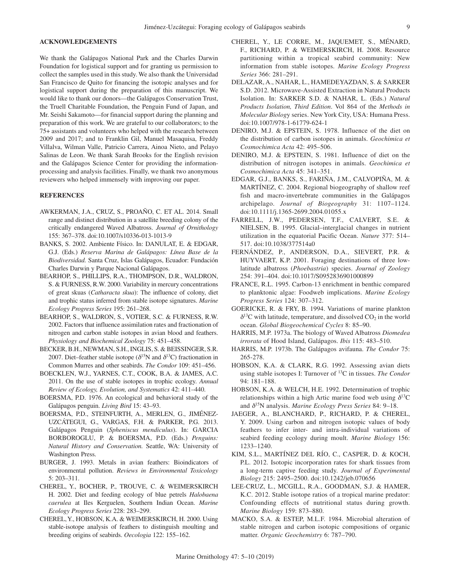## **ACKNOWLEDGEMENTS**

We thank the Galápagos National Park and the Charles Darwin Foundation for logistical support and for granting us permission to collect the samples used in this study. We also thank the Universidad San Francisco de Quito for financing the isotopic analyses and for logistical support during the preparation of this manuscript. We would like to thank our donors—the Galápagos Conservation Trust, the Truell Charitable Foundation, the Penguin Fund of Japan, and Mr. Seishi Sakamoto—for financial support during the planning and preparation of this work. We are grateful to our collaborators; to the 75+ assistants and volunteers who helped with the research between 2009 and 2017; and to Franklin Gil, Manuel Masaquisa, Freddy Villalva, Wilman Valle, Patricio Carrera, Ainoa Nieto, and Pelayo Salinas de Leon. We thank Sarah Brooks for the English revision and the Galápagos Science Center for providing the informationprocessing and analysis facilities. Finally, we thank two anonymous reviewers who helped immensely with improving our paper.

#### **REFERENCES**

- AWKERMAN, J.A., CRUZ, S., PROAÑO, C. ET AL. 2014. Small range and distinct distribution in a satellite breeding colony of the critically endangered Waved Albatross. *Journal of Ornithology* 155: 367–378. doi:10.1007/s10336-013-1013-9
- BANKS, S. 2002. Ambiente Físico. In: DANULAT, E. & EDGAR, G.J. (Eds.) *Reserva Marina de Galápagos: Línea Base de la Biodiversidad.* Santa Cruz, Islas Galápagos, Ecuador: Fundación Charles Darwin y Parque Nacional Galápagos.
- BEARHOP, S., PHILLIPS, R.A., THOMPSON, D.R., WALDRON, S. & FURNESS, R.W. 2000. Variability in mercury concentrations of great skuas (*Catharacta skua*): The influence of colony, diet and trophic status inferred from stable isotope signatures. *Marine Ecology Progress Series* 195: 261–268.
- BEARHOP, S., WALDRON, S., VOTIER, S.C. & FURNESS, R.W. 2002. Factors that influence assimilation rates and fractionation of nitrogen and carbon stable isotopes in avian blood and feathers. *Physiology and Biochemical Zoology* 75: 451–458.
- BECKER, B.H., NEWMAN, S.H., INGLIS, S. & BEISSINGER, S.R. 2007. Diet–feather stable isotope ( $\delta^{15}N$  and  $\delta^{13}C$ ) fractionation in Common Murres and other seabirds. *The Condor* 109: 451–456.
- BOECKLEN, W.J., YARNES, C.T., COOK, B.A. & JAMES, A.C. 2011. On the use of stable isotopes in trophic ecology. *Annual Review of Ecology, Evolution, and Systematics* 42: 411–440.
- BOERSMA, P.D. 1976. An ecological and behavioral study of the Galápagos penguin. *Living Bird* 15: 43–93.
- BOERSMA, P.D., STEINFURTH, A., MERLEN, G., JIMÉNEZ-UZCÁTEGUI, G., VARGAS, F.H. & PARKER, P.G. 2013. Galápagos Penguin (*Spheniscus mendiculus*). In: GARCIA BORBOROGLU, P. & BOERSMA, P.D. (Eds.) *Penguins: Natural History and Conservation.* Seattle, WA: University of Washington Press.
- BURGER, J. 1993. Metals in avian feathers: Bioindicators of environmental pollution. *Reviews in Environmental Toxicology* 5: 203–311.
- CHEREL, Y., BOCHER, P., TROUVE, C. & WEIMERSKIRCH H. 2002. Diet and feeding ecology of blue petrels *Halobaena caerulea* at Iles Kerguelen, Southern Indian Ocean. *Marine Ecology Progress Series* 228: 283–299.
- CHEREL, Y., HOBSON, K.A. & WEIMERSKIRCH, H. 2000. Using stable-isotope analysis of feathers to distinguish moulting and breeding origins of seabirds. *Oecologia* 122: 155–162.
- CHEREL, Y., LE CORRE, M., JAQUEMET, S., MÉNARD, F., RICHARD, P. & WEIMERSKIRCH, H. 2008. Resource partitioning within a tropical seabird community: New information from stable isotopes. *Marine Ecology Progress Series* 366: 281–291.
- DELAZAR, A., NAHAR, L., HAMEDEYAZDAN, S. & SARKER S.D. 2012. Microwave-Assisted Extraction in Natural Products Isolation. In: SARKER S.D. & NAHAR, L. (Eds.) *Natural Products Isolation, Third Edition*. Vol 864 of the *Methods in Molecular Biolog*y series. New York City, USA: Humana Press. doi:10.1007/978-1-61779-624-1
- DENIRO, M.J. & EPSTEIN, S. 1978. Influence of the diet on the distribution of carbon isotopes in animals. *Geochimica et Cosmochimica Acta* 42: 495–506.
- DENIRO, M.J. & EPSTEIN, S. 1981. Influence of diet on the distribution of nitrogen isotopes in animals. *Geochimica et Cosmochimica Acta* 45: 341–351.
- EDGAR, G.J., BANKS, S., FARIÑA, J.M., CALVOPIÑA, M. & MARTÍNEZ, C. 2004. Regional biogeography of shallow reef fish and macro-invertebrate communities in the Galápagos archipelago. *Journal of Biogeography* 31: 1107–1124. doi:10.1111/j.1365-2699.2004.01055.x
- FARRELL, J.W., PEDERSEN, T.F., CALVERT, S.E. & NIELSEN, B. 1995. Glacial–interglacial changes in nutrient utilization in the equatorial Pacific Ocean. *Nature* 377: 514– 517. doi:10.1038/377514a0
- FERNÁNDEZ, P., ANDERSON, D.A., SIEVERT, P.R. & HUYVAERT, K.P. 2001. Foraging destinations of three lowlatitude albatross (*Phoebastria*) species. *Journal of Zoology* 254: 391–404. doi:10.1017/S0952836901000899
- FRANCE, R.L. 1995. Carbon-13 enrichment in benthic compared to planktonic algae: Foodweb implications. *Marine Ecology Progress Series* 124: 307–312.
- GOERICKE, R. & FRY, B. 1994. Variations of marine plankton  $\delta^{13}$ C with latitude, temperature, and dissolved CO<sub>2</sub> in the world ocean. *Global Biogeochemical Cycles* 8: 85–90.
- HARRIS, M.P. 1973a. The biology of Waved Albatross *Diomedea irrorata* of Hood Island, Galápagos. *Ibis* 115: 483–510.
- HARRIS, M.P. 1973b. The Galápagos avifauna. *The Condor* 75: 265-278.
- HOBSON, K.A. & CLARK, R.G. 1992. Assessing avian diets using stable isotopes I: Turnover of 13C in tissues. *The Condor* 94: 181–188.
- HOBSON, K.A. & WELCH, H.E. 1992. Determination of trophic relationships within a high Artic marine food web using  $\delta^{13}C$ and δ15N analysis. *Marine Ecology Press Series* 84: 9–18.
- JAEGER, A., BLANCHARD, P., RICHARD, P. & CHEREL, Y. 2009. Using carbon and nitrogen isotopic values of body feathers to infer inter- and intra-individual variations of seabird feeding ecology during moult. *Marine Biology* 156: 1233–1240.
- KIM, S.L., MARTÍNEZ DEL RÍO, C., CASPER, D. & KOCH, P.L. 2012. Isotopic incorporation rates for shark tissues from a long-term captive feeding study. *Journal of Experimental Biology* 215: 2495–2500. doi:10.1242/jeb.070656
- LEE-CRUZ, L., MCGILL, R.A., GOODMAN, S.J. & HAMER, K.C. 2012. Stable isotope ratios of a tropical marine predator: Confounding effects of nutritional status during growth. *Marine Biology* 159: 873–880.
- MACKO, S.A. & ESTEP, M.L.F. 1984. Microbial alteration of stable nitrogen and carbon isotopic compositions of organic matter. *Organic Geochemistry* 6: 787–790.